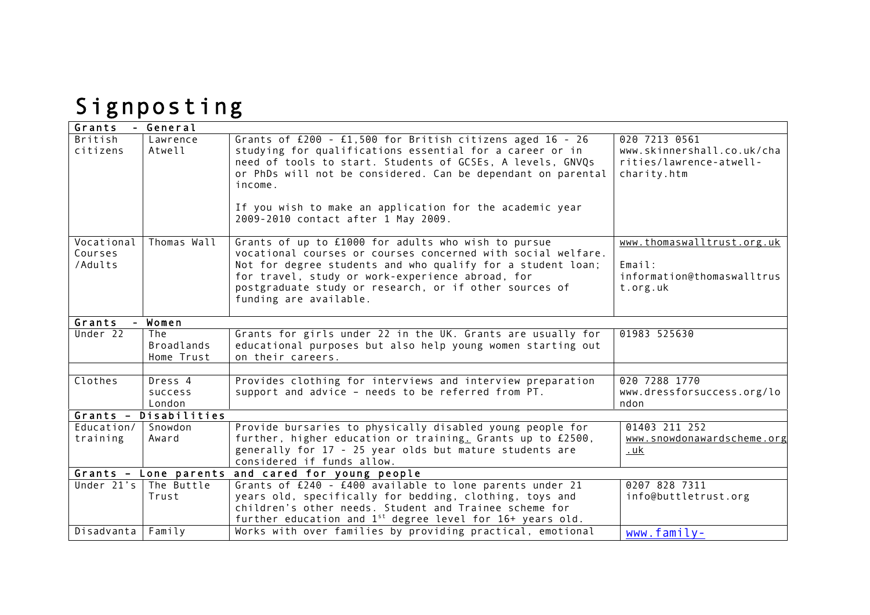## Signposting

| Grants         | - General                |                                                                       |                                    |
|----------------|--------------------------|-----------------------------------------------------------------------|------------------------------------|
| <b>British</b> | Lawrence                 | Grants of $£200 - £1,500$ for British citizens aged $16 - 26$         | 020 7213 0561                      |
| citizens       | Atwell                   | studying for qualifications essential for a career or in              | www.skinnershall.co.uk/cha         |
|                |                          | need of tools to start. Students of GCSEs, A levels, GNVQs            | rities/lawrence-atwell-            |
|                |                          | or PhDs will not be considered. Can be dependant on parental          | charity.htm                        |
|                |                          | income.                                                               |                                    |
|                |                          |                                                                       |                                    |
|                |                          | If you wish to make an application for the academic year              |                                    |
|                |                          | 2009-2010 contact after 1 May 2009.                                   |                                    |
| Vocational     | Thomas Wall              | Grants of up to £1000 for adults who wish to pursue                   | www.thomaswalltrust.org.uk         |
| Courses        |                          | vocational courses or courses concerned with social welfare.          |                                    |
| /Adults        |                          | Not for degree students and who qualify for a student loan;           | Email:                             |
|                |                          | for travel, study or work-experience abroad, for                      | information@thomaswalltrus         |
|                |                          | postgraduate study or research, or if other sources of                | t.org.uk                           |
|                |                          | funding are available.                                                |                                    |
|                |                          |                                                                       |                                    |
| Grants         | Women                    |                                                                       |                                    |
| Under 22       | The                      | Grants for girls under 22 in the UK. Grants are usually for           | 01983 525630                       |
|                | <b>Broadlands</b>        | educational purposes but also help young women starting out           |                                    |
|                | Home Trust               | on their careers.                                                     |                                    |
|                |                          |                                                                       |                                    |
| Clothes        | Dress 4                  | Provides clothing for interviews and interview preparation            | 020 7288 1770                      |
|                | <b>SUCCESS</b><br>London | support and advice - needs to be referred from PT.                    | www.dressforsuccess.org/lo<br>ndon |
|                | Grants - Disabilities    |                                                                       |                                    |
| Education/     | Snowdon                  | Provide bursaries to physically disabled young people for             | 01403 211 252                      |
| training       | Award                    | further, higher education or training. Grants up to £2500,            | www.snowdonawardscheme.org         |
|                |                          | generally for 17 - 25 year olds but mature students are               | . u <sub>k</sub>                   |
|                |                          | considered if funds allow.                                            |                                    |
|                |                          | Grants - Lone parents and cared for young people                      |                                    |
| Under $21's$   | The Buttle               | Grants of £240 - £400 available to lone parents under 21              | 0207 828 7311                      |
|                | Trust                    | years old, specifically for bedding, clothing, toys and               | info@buttletrust.org               |
|                |                          | children's other needs. Student and Trainee scheme for                |                                    |
|                |                          | further education and 1 <sup>st</sup> degree level for 16+ years old. |                                    |
| Disadvanta     | Family                   | Works with over families by providing practical, emotional            | $www.family-$                      |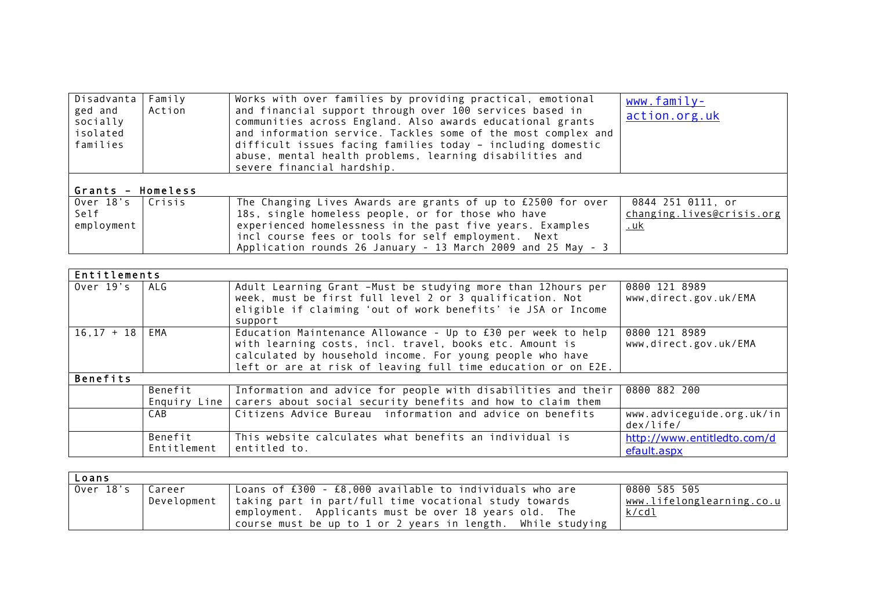| Disadvanta  <br>ged and<br>socially<br>isolated<br>families | Family<br>Action | Works with over families by providing practical, emotional<br>and financial support through over 100 services based in<br>communities across England. Also awards educational grants<br>and information service. Tackles some of the most complex and<br>difficult issues facing families today - including domestic<br>abuse, mental health problems, learning disabilities and<br>severe financial hardship. | www.family-<br>action.org.uk                          |  |
|-------------------------------------------------------------|------------------|----------------------------------------------------------------------------------------------------------------------------------------------------------------------------------------------------------------------------------------------------------------------------------------------------------------------------------------------------------------------------------------------------------------|-------------------------------------------------------|--|
| Grants - Homeless                                           |                  |                                                                                                                                                                                                                                                                                                                                                                                                                |                                                       |  |
| Over 18's   Crisis<br>Self<br>employment                    |                  | The Changing Lives Awards are grants of up to $£2500$ for over<br>18s, single homeless people, or for those who have<br>experienced homelessness in the past five years. Examples<br>incl course fees or tools for self employment. Next<br>Application rounds 26 January - 13 March 2009 and 25 May - 3                                                                                                       | 0844 251 0111, or<br>changing.lives@crisis.org<br>.uk |  |

| Entitlements      |                        |                                                                                                                                                                                                                                                       |                                            |
|-------------------|------------------------|-------------------------------------------------------------------------------------------------------------------------------------------------------------------------------------------------------------------------------------------------------|--------------------------------------------|
| Over $19's$   ALG |                        | Adult Learning Grant -Must be studying more than 12hours per<br>week, must be first full level 2 or 3 qualification. Not<br>eligible if claiming 'out of work benefits' ie JSA or Income<br>support                                                   | 0800 121 8989<br>www,direct.gov.uk/EMA     |
| $16, 17 + 18$     | EMA                    | Education Maintenance Allowance - Up to £30 per week to help<br>with learning costs, incl. travel, books etc. Amount is<br>calculated by household income. For young people who have<br>left or are at risk of leaving full time education or on E2E. | 0800 121 8989<br>www.direct.gov.uk/EMA     |
| <b>Benefits</b>   |                        |                                                                                                                                                                                                                                                       |                                            |
|                   | Benefit                | Information and advice for people with disabilities and their<br>Enquiry Line   carers about social security benefits and how to claim them                                                                                                           | 0800 882 200                               |
|                   | CAB                    | Citizens Advice Bureau information and advice on benefits                                                                                                                                                                                             | www.adviceguide.org.uk/in<br>dex/life/     |
|                   | Benefit<br>Entitlement | This website calculates what benefits an individual is<br>entitled to.                                                                                                                                                                                | http://www.entitledto.com/d<br>efault.aspx |

| Loans            |                                                                                                                                                                                                                                                           |                                                           |
|------------------|-----------------------------------------------------------------------------------------------------------------------------------------------------------------------------------------------------------------------------------------------------------|-----------------------------------------------------------|
| Over 18's Career | Loans of $£300 - £8,000$ available to individuals who are<br>Development   taking part in part/full time vocational study towards<br>employment. Applicants must be over 18 years old. The<br>course must be up to 1 or 2 years in length. While studying | 0800 585 505<br>www.lifelonglearning.co.u<br><u>k/cdl</u> |